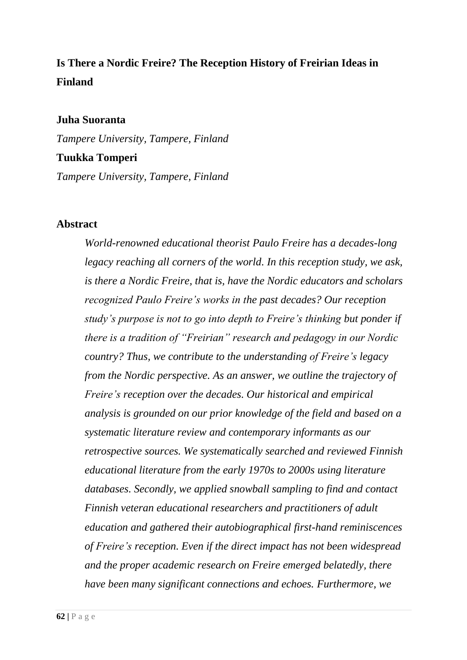# **Is There a Nordic Freire? The Reception History of Freirian Ideas in Finland**

#### **Juha Suoranta**

*Tampere University, Tampere, Finland*

#### **Tuukka Tomperi**

*Tampere University, Tampere, Finland*

### **Abstract**

*World-renowned educational theorist Paulo Freire has a decades-long legacy reaching all corners of the world. In this reception study, we ask, is there a Nordic Freire, that is, have the Nordic educators and scholars recognized Paulo Freire's works in the past decades? Our reception study's purpose is not to go into depth to Freire's thinking but ponder if there is a tradition of "Freirian" research and pedagogy in our Nordic country? Thus, we contribute to the understanding of Freire's legacy from the Nordic perspective. As an answer, we outline the trajectory of Freire's reception over the decades. Our historical and empirical analysis is grounded on our prior knowledge of the field and based on a systematic literature review and contemporary informants as our retrospective sources. We systematically searched and reviewed Finnish educational literature from the early 1970s to 2000s using literature databases. Secondly, we applied snowball sampling to find and contact Finnish veteran educational researchers and practitioners of adult education and gathered their autobiographical first-hand reminiscences of Freire's reception. Even if the direct impact has not been widespread and the proper academic research on Freire emerged belatedly, there have been many significant connections and echoes. Furthermore, we*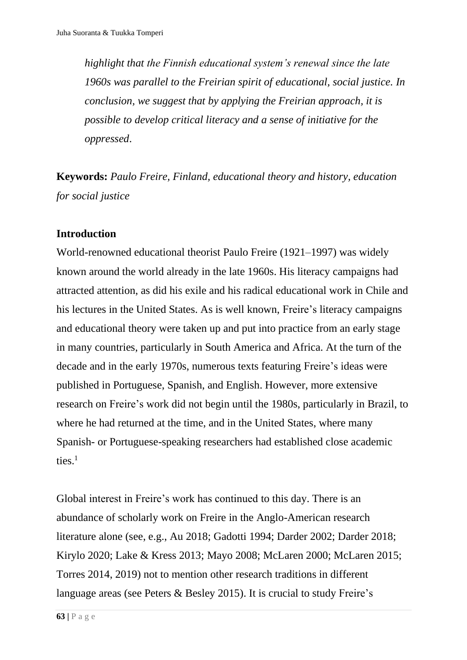*highlight that the Finnish educational system's renewal since the late 1960s was parallel to the Freirian spirit of educational, social justice. In conclusion, we suggest that by applying the Freirian approach, it is possible to develop critical literacy and a sense of initiative for the oppressed*.

**Keywords:** *Paulo Freire, Finland, educational theory and history, education for social justice* 

# **Introduction**

World-renowned educational theorist Paulo Freire (1921–1997) was widely known around the world already in the late 1960s. His literacy campaigns had attracted attention, as did his exile and his radical educational work in Chile and his lectures in the United States. As is well known, Freire's literacy campaigns and educational theory were taken up and put into practice from an early stage in many countries, particularly in South America and Africa. At the turn of the decade and in the early 1970s, numerous texts featuring Freire's ideas were published in Portuguese, Spanish, and English. However, more extensive research on Freire's work did not begin until the 1980s, particularly in Brazil, to where he had returned at the time, and in the United States, where many Spanish- or Portuguese-speaking researchers had established close academic ties. $1$ 

Global interest in Freire's work has continued to this day. There is an abundance of scholarly work on Freire in the Anglo-American research literature alone (see, e.g., Au 2018; Gadotti 1994; Darder 2002; Darder 2018; Kirylo 2020; Lake & Kress 2013; Mayo 2008; McLaren 2000; McLaren 2015; Torres 2014, 2019) not to mention other research traditions in different language areas (see Peters & Besley 2015). It is crucial to study Freire's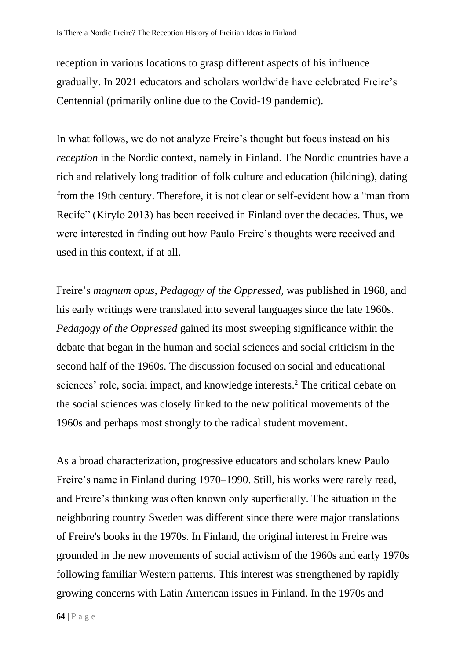reception in various locations to grasp different aspects of his influence gradually. In 2021 educators and scholars worldwide have celebrated Freire's Centennial (primarily online due to the Covid-19 pandemic).

In what follows, we do not analyze Freire's thought but focus instead on his *reception* in the Nordic context, namely in Finland. The Nordic countries have a rich and relatively long tradition of folk culture and education (bildning), dating from the 19th century. Therefore, it is not clear or self-evident how a "man from Recife" (Kirylo 2013) has been received in Finland over the decades. Thus, we were interested in finding out how Paulo Freire's thoughts were received and used in this context, if at all.

Freire's *magnum opus*, *Pedagogy of the Oppressed,* was published in 1968, and his early writings were translated into several languages since the late 1960s. *Pedagogy of the Oppressed* gained its most sweeping significance within the debate that began in the human and social sciences and social criticism in the second half of the 1960s. The discussion focused on social and educational sciences' role, social impact, and knowledge interests. <sup>2</sup> The critical debate on the social sciences was closely linked to the new political movements of the 1960s and perhaps most strongly to the radical student movement.

As a broad characterization, progressive educators and scholars knew Paulo Freire's name in Finland during 1970–1990. Still, his works were rarely read, and Freire's thinking was often known only superficially. The situation in the neighboring country Sweden was different since there were major translations of Freire's books in the 1970s. In Finland, the original interest in Freire was grounded in the new movements of social activism of the 1960s and early 1970s following familiar Western patterns. This interest was strengthened by rapidly growing concerns with Latin American issues in Finland. In the 1970s and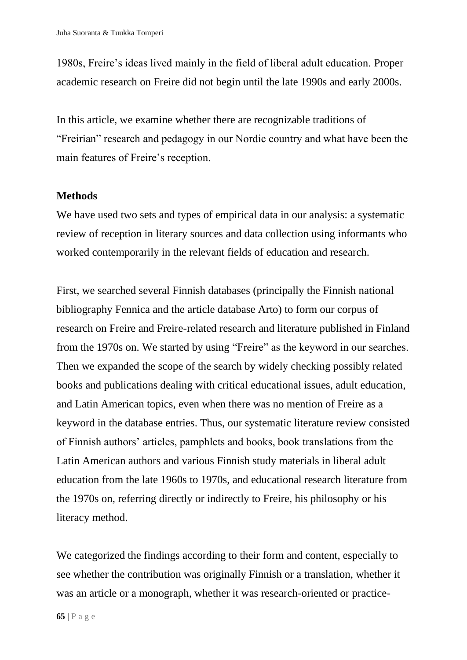1980s, Freire's ideas lived mainly in the field of liberal adult education. Proper academic research on Freire did not begin until the late 1990s and early 2000s.

In this article, we examine whether there are recognizable traditions of "Freirian" research and pedagogy in our Nordic country and what have been the main features of Freire's reception.

# **Methods**

We have used two sets and types of empirical data in our analysis: a systematic review of reception in literary sources and data collection using informants who worked contemporarily in the relevant fields of education and research.

First, we searched several Finnish databases (principally the Finnish national bibliography Fennica and the article database Arto) to form our corpus of research on Freire and Freire-related research and literature published in Finland from the 1970s on. We started by using "Freire" as the keyword in our searches. Then we expanded the scope of the search by widely checking possibly related books and publications dealing with critical educational issues, adult education, and Latin American topics, even when there was no mention of Freire as a keyword in the database entries. Thus, our systematic literature review consisted of Finnish authors' articles, pamphlets and books, book translations from the Latin American authors and various Finnish study materials in liberal adult education from the late 1960s to 1970s, and educational research literature from the 1970s on, referring directly or indirectly to Freire, his philosophy or his literacy method.

We categorized the findings according to their form and content, especially to see whether the contribution was originally Finnish or a translation, whether it was an article or a monograph, whether it was research-oriented or practice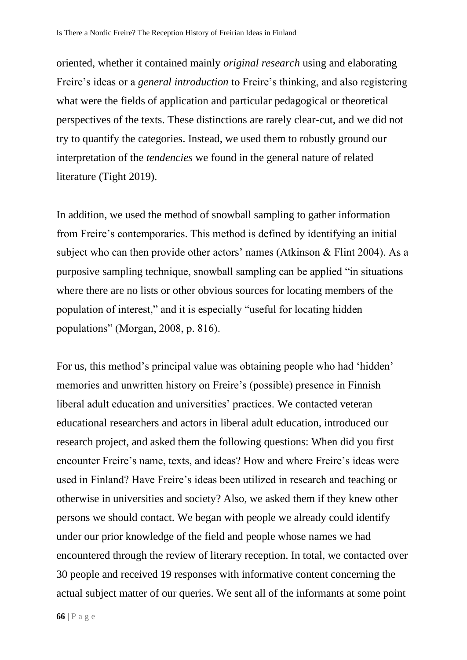oriented, whether it contained mainly *original research* using and elaborating Freire's ideas or a *general introduction* to Freire's thinking, and also registering what were the fields of application and particular pedagogical or theoretical perspectives of the texts. These distinctions are rarely clear-cut, and we did not try to quantify the categories. Instead, we used them to robustly ground our interpretation of the *tendencies* we found in the general nature of related literature (Tight 2019).

In addition, we used the method of snowball sampling to gather information from Freire's contemporaries. This method is defined by identifying an initial subject who can then provide other actors' names (Atkinson & Flint 2004). As a purposive sampling technique, snowball sampling can be applied "in situations where there are no lists or other obvious sources for locating members of the population of interest," and it is especially "useful for locating hidden populations" (Morgan, 2008, p. 816).

For us, this method's principal value was obtaining people who had 'hidden' memories and unwritten history on Freire's (possible) presence in Finnish liberal adult education and universities' practices. We contacted veteran educational researchers and actors in liberal adult education, introduced our research project, and asked them the following questions: When did you first encounter Freire's name, texts, and ideas? How and where Freire's ideas were used in Finland? Have Freire's ideas been utilized in research and teaching or otherwise in universities and society? Also, we asked them if they knew other persons we should contact. We began with people we already could identify under our prior knowledge of the field and people whose names we had encountered through the review of literary reception. In total, we contacted over 30 people and received 19 responses with informative content concerning the actual subject matter of our queries. We sent all of the informants at some point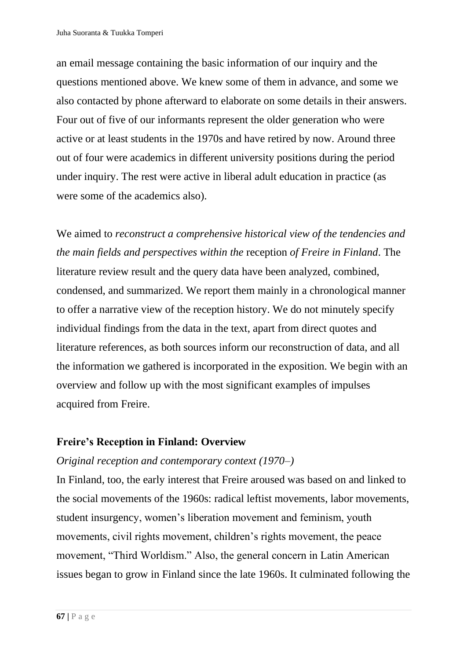an email message containing the basic information of our inquiry and the questions mentioned above. We knew some of them in advance, and some we also contacted by phone afterward to elaborate on some details in their answers. Four out of five of our informants represent the older generation who were active or at least students in the 1970s and have retired by now. Around three out of four were academics in different university positions during the period under inquiry. The rest were active in liberal adult education in practice (as were some of the academics also).

We aimed to *reconstruct a comprehensive historical view of the tendencies and the main fields and perspectives within the* reception *of Freire in Finland*. The literature review result and the query data have been analyzed, combined, condensed, and summarized. We report them mainly in a chronological manner to offer a narrative view of the reception history. We do not minutely specify individual findings from the data in the text, apart from direct quotes and literature references, as both sources inform our reconstruction of data, and all the information we gathered is incorporated in the exposition. We begin with an overview and follow up with the most significant examples of impulses acquired from Freire.

# **Freire's Reception in Finland: Overview**

# *Original reception and contemporary context (1970–)*

In Finland, too, the early interest that Freire aroused was based on and linked to the social movements of the 1960s: radical leftist movements, labor movements, student insurgency, women's liberation movement and feminism, youth movements, civil rights movement, children's rights movement, the peace movement, "Third Worldism." Also, the general concern in Latin American issues began to grow in Finland since the late 1960s. It culminated following the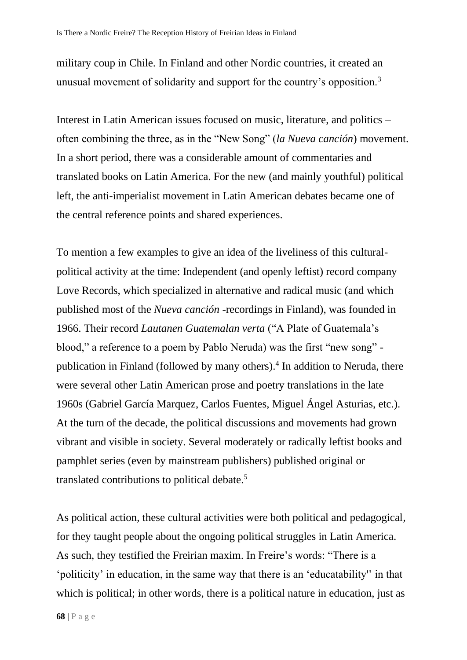military coup in Chile. In Finland and other Nordic countries, it created an unusual movement of solidarity and support for the country's opposition.<sup>3</sup>

Interest in Latin American issues focused on music, literature, and politics – often combining the three, as in the "New Song" (*la Nueva canción*) movement. In a short period, there was a considerable amount of commentaries and translated books on Latin America. For the new (and mainly youthful) political left, the anti-imperialist movement in Latin American debates became one of the central reference points and shared experiences.

To mention a few examples to give an idea of the liveliness of this culturalpolitical activity at the time: Independent (and openly leftist) record company Love Records, which specialized in alternative and radical music (and which published most of the *Nueva canción* -recordings in Finland), was founded in 1966. Their record *Lautanen Guatemalan verta* ("A Plate of Guatemala's blood," a reference to a poem by Pablo Neruda) was the first "new song" publication in Finland (followed by many others).<sup>4</sup> In addition to Neruda, there were several other Latin American prose and poetry translations in the late 1960s (Gabriel García Marquez, Carlos Fuentes, Miguel Ángel Asturias, etc.). At the turn of the decade, the political discussions and movements had grown vibrant and visible in society. Several moderately or radically leftist books and pamphlet series (even by mainstream publishers) published original or translated contributions to political debate.<sup>5</sup>

As political action, these cultural activities were both political and pedagogical, for they taught people about the ongoing political struggles in Latin America. As such, they testified the Freirian maxim. In Freire's words: "There is a 'politicity' in education, in the same way that there is an 'educatability'' in that which is political; in other words, there is a political nature in education, just as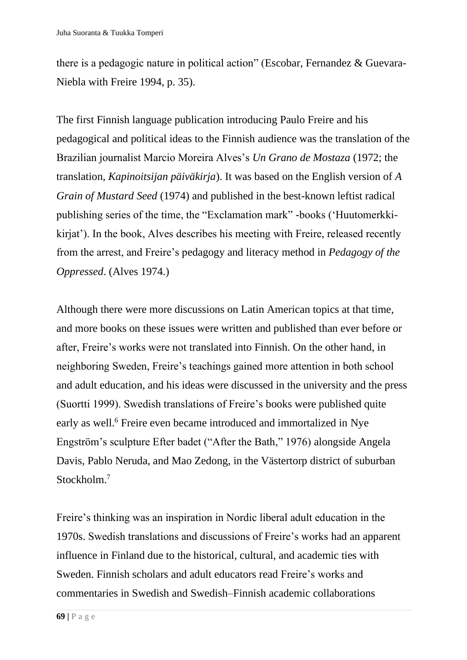there is a pedagogic nature in political action" (Escobar, Fernandez & Guevara-Niebla with Freire 1994, p. 35).

The first Finnish language publication introducing Paulo Freire and his pedagogical and political ideas to the Finnish audience was the translation of the Brazilian journalist Marcio Moreira Alves's *Un Grano de Mostaza* (1972; the translation, *Kapinoitsijan päiväkirja*). It was based on the English version of *A Grain of Mustard Seed* (1974) and published in the best-known leftist radical publishing series of the time, the "Exclamation mark" -books ('Huutomerkkikirjat'). In the book, Alves describes his meeting with Freire, released recently from the arrest, and Freire's pedagogy and literacy method in *Pedagogy of the Oppressed*. (Alves 1974.)

Although there were more discussions on Latin American topics at that time, and more books on these issues were written and published than ever before or after, Freire's works were not translated into Finnish. On the other hand, in neighboring Sweden, Freire's teachings gained more attention in both school and adult education, and his ideas were discussed in the university and the press (Suortti 1999). Swedish translations of Freire's books were published quite early as well. <sup>6</sup> Freire even became introduced and immortalized in Nye Engström's sculpture Efter badet ("After the Bath," 1976) alongside Angela Davis, Pablo Neruda, and Mao Zedong, in the Västertorp district of suburban Stockholm.<sup>7</sup>

Freire's thinking was an inspiration in Nordic liberal adult education in the 1970s. Swedish translations and discussions of Freire's works had an apparent influence in Finland due to the historical, cultural, and academic ties with Sweden. Finnish scholars and adult educators read Freire's works and commentaries in Swedish and Swedish–Finnish academic collaborations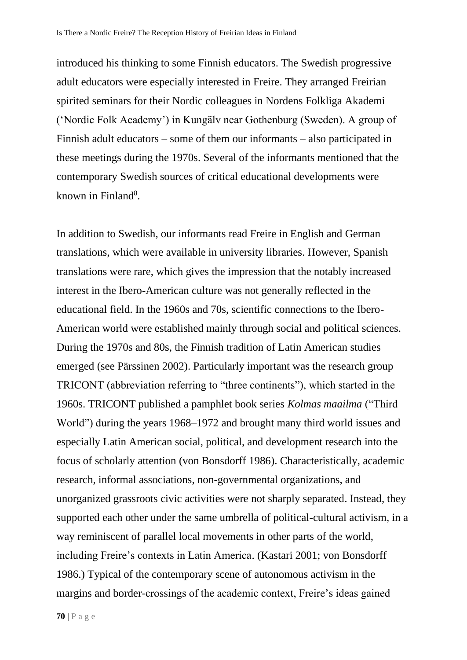introduced his thinking to some Finnish educators. The Swedish progressive adult educators were especially interested in Freire. They arranged Freirian spirited seminars for their Nordic colleagues in Nordens Folkliga Akademi ('Nordic Folk Academy') in Kungälv near Gothenburg (Sweden). A group of Finnish adult educators – some of them our informants – also participated in these meetings during the 1970s. Several of the informants mentioned that the contemporary Swedish sources of critical educational developments were known in Finland<sup>8</sup>.

In addition to Swedish, our informants read Freire in English and German translations, which were available in university libraries. However, Spanish translations were rare, which gives the impression that the notably increased interest in the Ibero-American culture was not generally reflected in the educational field. In the 1960s and 70s, scientific connections to the Ibero-American world were established mainly through social and political sciences. During the 1970s and 80s, the Finnish tradition of Latin American studies emerged (see Pärssinen 2002). Particularly important was the research group TRICONT (abbreviation referring to "three continents"), which started in the 1960s. TRICONT published a pamphlet book series *Kolmas maailma* ("Third World") during the years 1968–1972 and brought many third world issues and especially Latin American social, political, and development research into the focus of scholarly attention (von Bonsdorff 1986). Characteristically, academic research, informal associations, non-governmental organizations, and unorganized grassroots civic activities were not sharply separated. Instead, they supported each other under the same umbrella of political-cultural activism, in a way reminiscent of parallel local movements in other parts of the world, including Freire's contexts in Latin America. (Kastari 2001; von Bonsdorff 1986.) Typical of the contemporary scene of autonomous activism in the margins and border-crossings of the academic context, Freire's ideas gained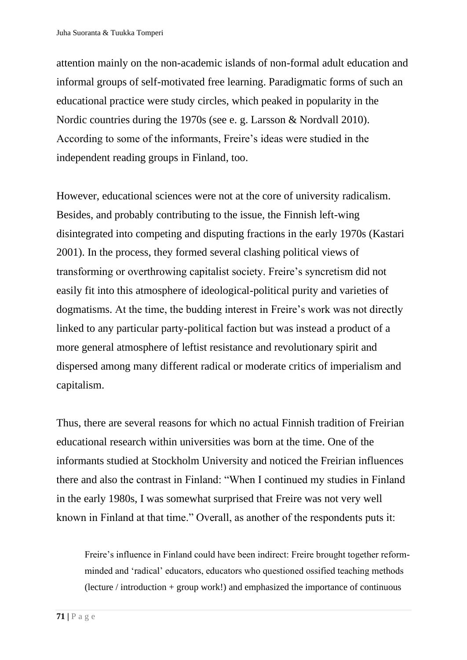attention mainly on the non-academic islands of non-formal adult education and informal groups of self-motivated free learning. Paradigmatic forms of such an educational practice were study circles, which peaked in popularity in the Nordic countries during the 1970s (see e. g. Larsson & Nordvall 2010). According to some of the informants, Freire's ideas were studied in the independent reading groups in Finland, too.

However, educational sciences were not at the core of university radicalism. Besides, and probably contributing to the issue, the Finnish left-wing disintegrated into competing and disputing fractions in the early 1970s (Kastari 2001). In the process, they formed several clashing political views of transforming or overthrowing capitalist society. Freire's syncretism did not easily fit into this atmosphere of ideological-political purity and varieties of dogmatisms. At the time, the budding interest in Freire's work was not directly linked to any particular party-political faction but was instead a product of a more general atmosphere of leftist resistance and revolutionary spirit and dispersed among many different radical or moderate critics of imperialism and capitalism.

Thus, there are several reasons for which no actual Finnish tradition of Freirian educational research within universities was born at the time. One of the informants studied at Stockholm University and noticed the Freirian influences there and also the contrast in Finland: "When I continued my studies in Finland in the early 1980s, I was somewhat surprised that Freire was not very well known in Finland at that time." Overall, as another of the respondents puts it:

Freire's influence in Finland could have been indirect: Freire brought together reformminded and 'radical' educators, educators who questioned ossified teaching methods (lecture / introduction + group work!) and emphasized the importance of continuous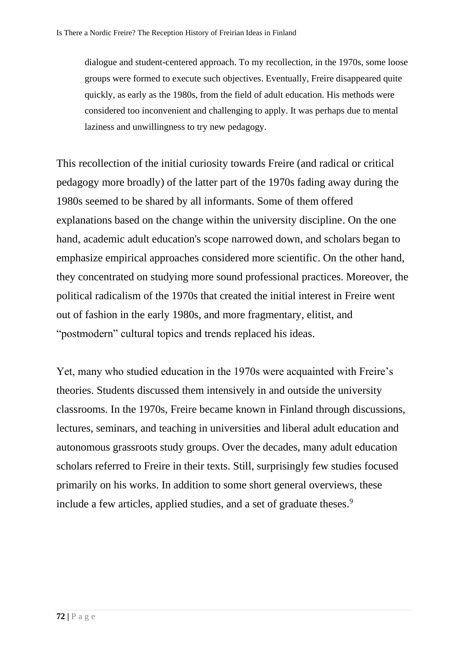dialogue and student-centered approach. To my recollection, in the 1970s, some loose groups were formed to execute such objectives. Eventually, Freire disappeared quite quickly, as early as the 1980s, from the field of adult education. His methods were considered too inconvenient and challenging to apply. It was perhaps due to mental laziness and unwillingness to try new pedagogy.

This recollection of the initial curiosity towards Freire (and radical or critical pedagogy more broadly) of the latter part of the 1970s fading away during the 1980s seemed to be shared by all informants. Some of them offered explanations based on the change within the university discipline. On the one hand, academic adult education's scope narrowed down, and scholars began to emphasize empirical approaches considered more scientific. On the other hand, they concentrated on studying more sound professional practices. Moreover, the political radicalism of the 1970s that created the initial interest in Freire went out of fashion in the early 1980s, and more fragmentary, elitist, and "postmodern" cultural topics and trends replaced his ideas.

Yet, many who studied education in the 1970s were acquainted with Freire's theories. Students discussed them intensively in and outside the university classrooms. In the 1970s, Freire became known in Finland through discussions, lectures, seminars, and teaching in universities and liberal adult education and autonomous grassroots study groups. Over the decades, many adult education scholars referred to Freire in their texts. Still, surprisingly few studies focused primarily on his works. In addition to some short general overviews, these include a few articles, applied studies, and a set of graduate theses.<sup>9</sup>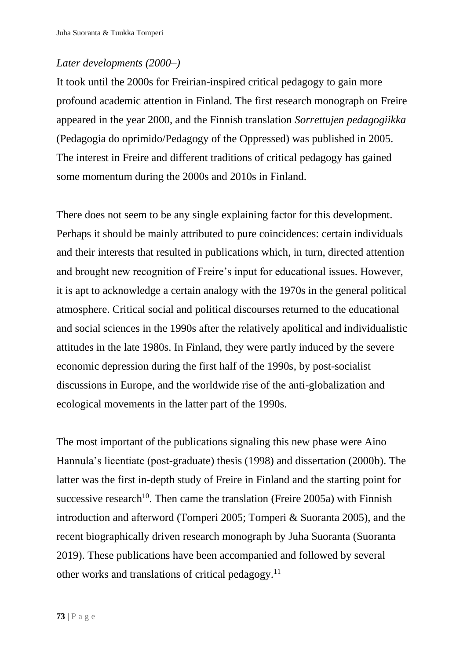# *Later developments (2000–)*

It took until the 2000s for Freirian-inspired critical pedagogy to gain more profound academic attention in Finland. The first research monograph on Freire appeared in the year 2000, and the Finnish translation *Sorrettujen pedagogiikka* (Pedagogia do oprimido/Pedagogy of the Oppressed) was published in 2005. The interest in Freire and different traditions of critical pedagogy has gained some momentum during the 2000s and 2010s in Finland.

There does not seem to be any single explaining factor for this development. Perhaps it should be mainly attributed to pure coincidences: certain individuals and their interests that resulted in publications which, in turn, directed attention and brought new recognition of Freire's input for educational issues. However, it is apt to acknowledge a certain analogy with the 1970s in the general political atmosphere. Critical social and political discourses returned to the educational and social sciences in the 1990s after the relatively apolitical and individualistic attitudes in the late 1980s. In Finland, they were partly induced by the severe economic depression during the first half of the 1990s, by post-socialist discussions in Europe, and the worldwide rise of the anti-globalization and ecological movements in the latter part of the 1990s.

The most important of the publications signaling this new phase were Aino Hannula's licentiate (post-graduate) thesis (1998) and dissertation (2000b). The latter was the first in-depth study of Freire in Finland and the starting point for successive research<sup>10</sup>. Then came the translation (Freire 2005a) with Finnish introduction and afterword (Tomperi 2005; Tomperi & Suoranta 2005), and the recent biographically driven research monograph by Juha Suoranta (Suoranta 2019). These publications have been accompanied and followed by several other works and translations of critical pedagogy.<sup>11</sup>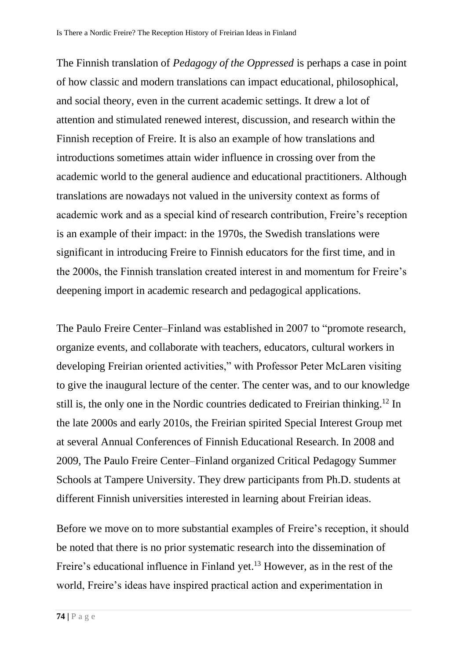The Finnish translation of *Pedagogy of the Oppressed* is perhaps a case in point of how classic and modern translations can impact educational, philosophical, and social theory, even in the current academic settings. It drew a lot of attention and stimulated renewed interest, discussion, and research within the Finnish reception of Freire. It is also an example of how translations and introductions sometimes attain wider influence in crossing over from the academic world to the general audience and educational practitioners. Although translations are nowadays not valued in the university context as forms of academic work and as a special kind of research contribution, Freire's reception is an example of their impact: in the 1970s, the Swedish translations were significant in introducing Freire to Finnish educators for the first time, and in the 2000s, the Finnish translation created interest in and momentum for Freire's deepening import in academic research and pedagogical applications.

The Paulo Freire Center–Finland was established in 2007 to "promote research, organize events, and collaborate with teachers, educators, cultural workers in developing Freirian oriented activities," with Professor Peter McLaren visiting to give the inaugural lecture of the center. The center was, and to our knowledge still is, the only one in the Nordic countries dedicated to Freirian thinking.<sup>12</sup> In the late 2000s and early 2010s, the Freirian spirited Special Interest Group met at several Annual Conferences of Finnish Educational Research. In 2008 and 2009, The Paulo Freire Center–Finland organized Critical Pedagogy Summer Schools at Tampere University. They drew participants from Ph.D. students at different Finnish universities interested in learning about Freirian ideas.

Before we move on to more substantial examples of Freire's reception, it should be noted that there is no prior systematic research into the dissemination of Freire's educational influence in Finland yet.<sup>13</sup> However, as in the rest of the world, Freire's ideas have inspired practical action and experimentation in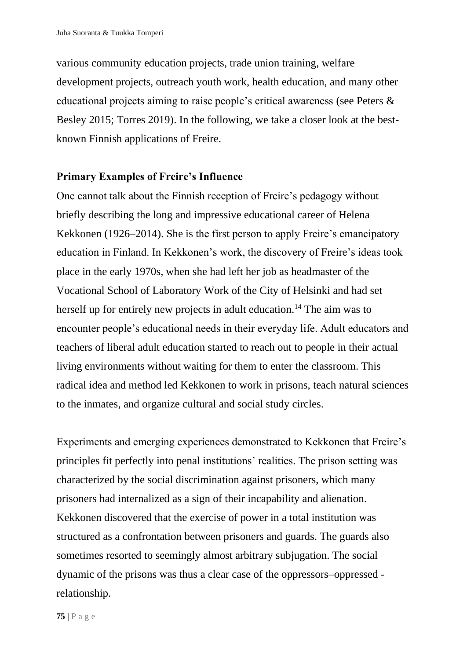various community education projects, trade union training, welfare development projects, outreach youth work, health education, and many other educational projects aiming to raise people's critical awareness (see Peters & Besley 2015; Torres 2019). In the following, we take a closer look at the bestknown Finnish applications of Freire.

# **Primary Examples of Freire's Influence**

One cannot talk about the Finnish reception of Freire's pedagogy without briefly describing the long and impressive educational career of Helena Kekkonen (1926–2014). She is the first person to apply Freire's emancipatory education in Finland. In Kekkonen's work, the discovery of Freire's ideas took place in the early 1970s, when she had left her job as headmaster of the Vocational School of Laboratory Work of the City of Helsinki and had set herself up for entirely new projects in adult education.<sup>14</sup> The aim was to encounter people's educational needs in their everyday life. Adult educators and teachers of liberal adult education started to reach out to people in their actual living environments without waiting for them to enter the classroom. This radical idea and method led Kekkonen to work in prisons, teach natural sciences to the inmates, and organize cultural and social study circles.

Experiments and emerging experiences demonstrated to Kekkonen that Freire's principles fit perfectly into penal institutions' realities. The prison setting was characterized by the social discrimination against prisoners, which many prisoners had internalized as a sign of their incapability and alienation. Kekkonen discovered that the exercise of power in a total institution was structured as a confrontation between prisoners and guards. The guards also sometimes resorted to seemingly almost arbitrary subjugation. The social dynamic of the prisons was thus a clear case of the oppressors–oppressed relationship.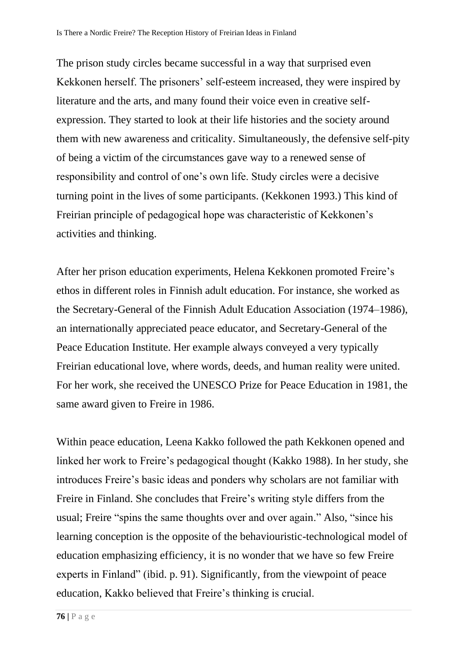The prison study circles became successful in a way that surprised even Kekkonen herself. The prisoners' self-esteem increased, they were inspired by literature and the arts, and many found their voice even in creative selfexpression. They started to look at their life histories and the society around them with new awareness and criticality. Simultaneously, the defensive self-pity of being a victim of the circumstances gave way to a renewed sense of responsibility and control of one's own life. Study circles were a decisive turning point in the lives of some participants. (Kekkonen 1993.) This kind of Freirian principle of pedagogical hope was characteristic of Kekkonen's activities and thinking.

After her prison education experiments, Helena Kekkonen promoted Freire's ethos in different roles in Finnish adult education. For instance, she worked as the Secretary-General of the Finnish Adult Education Association (1974–1986), an internationally appreciated peace educator, and Secretary-General of the Peace Education Institute. Her example always conveyed a very typically Freirian educational love, where words, deeds, and human reality were united. For her work, she received the UNESCO Prize for Peace Education in 1981, the same award given to Freire in 1986.

Within peace education, Leena Kakko followed the path Kekkonen opened and linked her work to Freire's pedagogical thought (Kakko 1988). In her study, she introduces Freire's basic ideas and ponders why scholars are not familiar with Freire in Finland. She concludes that Freire's writing style differs from the usual; Freire "spins the same thoughts over and over again." Also, "since his learning conception is the opposite of the behaviouristic-technological model of education emphasizing efficiency, it is no wonder that we have so few Freire experts in Finland" (ibid. p. 91). Significantly, from the viewpoint of peace education, Kakko believed that Freire's thinking is crucial.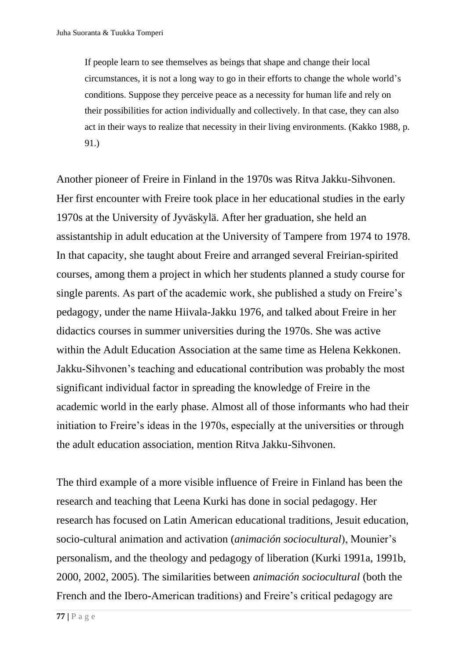If people learn to see themselves as beings that shape and change their local circumstances, it is not a long way to go in their efforts to change the whole world's conditions. Suppose they perceive peace as a necessity for human life and rely on their possibilities for action individually and collectively. In that case, they can also act in their ways to realize that necessity in their living environments. (Kakko 1988, p. 91.)

Another pioneer of Freire in Finland in the 1970s was Ritva Jakku-Sihvonen. Her first encounter with Freire took place in her educational studies in the early 1970s at the University of Jyväskylä. After her graduation, she held an assistantship in adult education at the University of Tampere from 1974 to 1978. In that capacity, she taught about Freire and arranged several Freirian-spirited courses, among them a project in which her students planned a study course for single parents. As part of the academic work, she published a study on Freire's pedagogy, under the name Hiivala-Jakku 1976, and talked about Freire in her didactics courses in summer universities during the 1970s. She was active within the Adult Education Association at the same time as Helena Kekkonen. Jakku-Sihvonen's teaching and educational contribution was probably the most significant individual factor in spreading the knowledge of Freire in the academic world in the early phase. Almost all of those informants who had their initiation to Freire's ideas in the 1970s, especially at the universities or through the adult education association, mention Ritva Jakku-Sihvonen.

The third example of a more visible influence of Freire in Finland has been the research and teaching that Leena Kurki has done in social pedagogy. Her research has focused on Latin American educational traditions, Jesuit education, socio-cultural animation and activation (*animación sociocultural*), Mounier's personalism, and the theology and pedagogy of liberation (Kurki 1991a, 1991b, 2000, 2002, 2005). The similarities between *animación sociocultural* (both the French and the Ibero-American traditions) and Freire's critical pedagogy are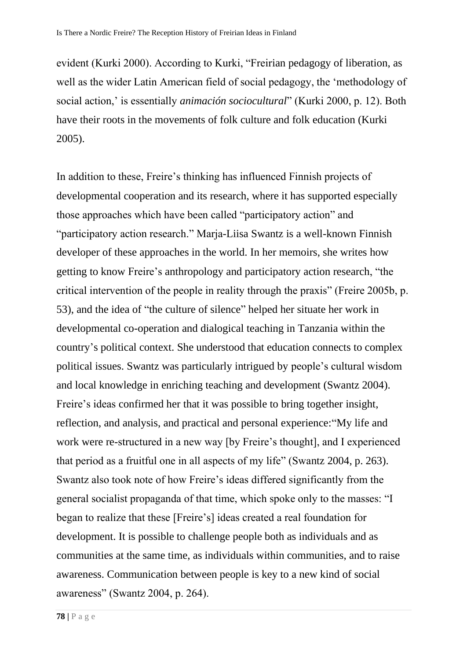evident (Kurki 2000). According to Kurki, "Freirian pedagogy of liberation, as well as the wider Latin American field of social pedagogy, the 'methodology of social action,' is essentially *animación sociocultural*" (Kurki 2000, p. 12). Both have their roots in the movements of folk culture and folk education (Kurki 2005).

In addition to these, Freire's thinking has influenced Finnish projects of developmental cooperation and its research, where it has supported especially those approaches which have been called "participatory action" and "participatory action research." Marja-Liisa Swantz is a well-known Finnish developer of these approaches in the world. In her memoirs, she writes how getting to know Freire's anthropology and participatory action research, "the critical intervention of the people in reality through the praxis" (Freire 2005b, p. 53), and the idea of "the culture of silence" helped her situate her work in developmental co-operation and dialogical teaching in Tanzania within the country's political context. She understood that education connects to complex political issues. Swantz was particularly intrigued by people's cultural wisdom and local knowledge in enriching teaching and development (Swantz 2004). Freire's ideas confirmed her that it was possible to bring together insight, reflection, and analysis, and practical and personal experience:"My life and work were re-structured in a new way [by Freire's thought], and I experienced that period as a fruitful one in all aspects of my life" (Swantz 2004, p. 263). Swantz also took note of how Freire's ideas differed significantly from the general socialist propaganda of that time, which spoke only to the masses: "I began to realize that these [Freire's] ideas created a real foundation for development. It is possible to challenge people both as individuals and as communities at the same time, as individuals within communities, and to raise awareness. Communication between people is key to a new kind of social awareness" (Swantz 2004, p. 264).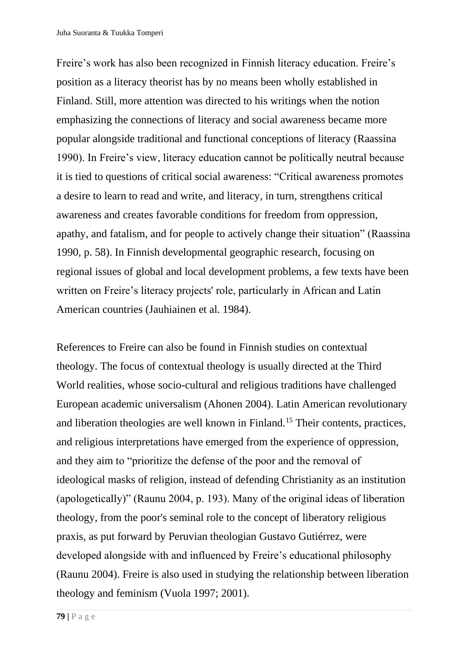Freire's work has also been recognized in Finnish literacy education. Freire's position as a literacy theorist has by no means been wholly established in Finland. Still, more attention was directed to his writings when the notion emphasizing the connections of literacy and social awareness became more popular alongside traditional and functional conceptions of literacy (Raassina 1990). In Freire's view, literacy education cannot be politically neutral because it is tied to questions of critical social awareness: "Critical awareness promotes a desire to learn to read and write, and literacy, in turn, strengthens critical awareness and creates favorable conditions for freedom from oppression, apathy, and fatalism, and for people to actively change their situation" (Raassina 1990, p. 58). In Finnish developmental geographic research, focusing on regional issues of global and local development problems, a few texts have been written on Freire's literacy projects' role, particularly in African and Latin American countries (Jauhiainen et al. 1984).

References to Freire can also be found in Finnish studies on contextual theology. The focus of contextual theology is usually directed at the Third World realities, whose socio-cultural and religious traditions have challenged European academic universalism (Ahonen 2004). Latin American revolutionary and liberation theologies are well known in Finland.<sup>15</sup> Their contents, practices, and religious interpretations have emerged from the experience of oppression, and they aim to "prioritize the defense of the poor and the removal of ideological masks of religion, instead of defending Christianity as an institution (apologetically)" (Raunu 2004, p. 193). Many of the original ideas of liberation theology, from the poor's seminal role to the concept of liberatory religious praxis, as put forward by Peruvian theologian Gustavo Gutiérrez, were developed alongside with and influenced by Freire's educational philosophy (Raunu 2004). Freire is also used in studying the relationship between liberation theology and feminism (Vuola 1997; 2001).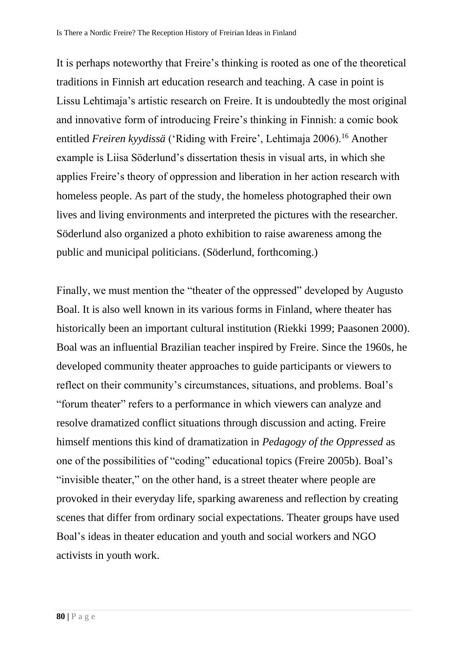It is perhaps noteworthy that Freire's thinking is rooted as one of the theoretical traditions in Finnish art education research and teaching. A case in point is Lissu Lehtimaja's artistic research on Freire. It is undoubtedly the most original and innovative form of introducing Freire's thinking in Finnish: a comic book entitled *Freiren kyydissä* ('Riding with Freire', Lehtimaja 2006).<sup>16</sup> Another example is Liisa Söderlund's dissertation thesis in visual arts, in which she applies Freire's theory of oppression and liberation in her action research with homeless people. As part of the study, the homeless photographed their own lives and living environments and interpreted the pictures with the researcher. Söderlund also organized a photo exhibition to raise awareness among the public and municipal politicians. (Söderlund, forthcoming.)

Finally, we must mention the "theater of the oppressed" developed by Augusto Boal. It is also well known in its various forms in Finland, where theater has historically been an important cultural institution (Riekki 1999; Paasonen 2000). Boal was an influential Brazilian teacher inspired by Freire. Since the 1960s, he developed community theater approaches to guide participants or viewers to reflect on their community's circumstances, situations, and problems. Boal's "forum theater" refers to a performance in which viewers can analyze and resolve dramatized conflict situations through discussion and acting. Freire himself mentions this kind of dramatization in *Pedagogy of the Oppressed* as one of the possibilities of "coding" educational topics (Freire 2005b). Boal's "invisible theater," on the other hand, is a street theater where people are provoked in their everyday life, sparking awareness and reflection by creating scenes that differ from ordinary social expectations. Theater groups have used Boal's ideas in theater education and youth and social workers and NGO activists in youth work.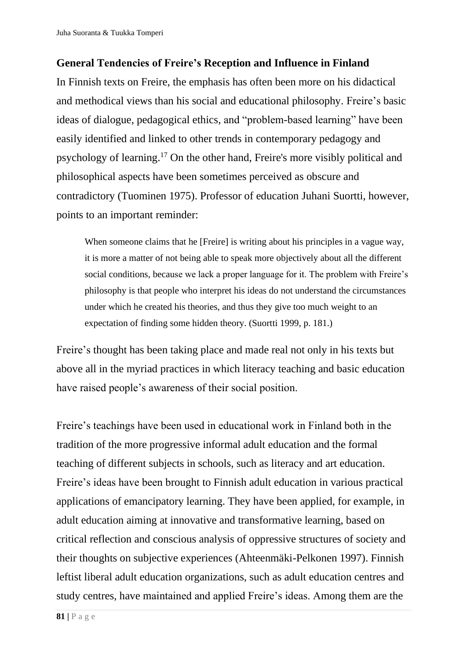# **General Tendencies of Freire's Reception and Influence in Finland**

In Finnish texts on Freire, the emphasis has often been more on his didactical and methodical views than his social and educational philosophy. Freire's basic ideas of dialogue, pedagogical ethics, and "problem-based learning" have been easily identified and linked to other trends in contemporary pedagogy and psychology of learning.<sup>17</sup> On the other hand, Freire's more visibly political and philosophical aspects have been sometimes perceived as obscure and contradictory (Tuominen 1975). Professor of education Juhani Suortti, however, points to an important reminder:

When someone claims that he [Freire] is writing about his principles in a vague way, it is more a matter of not being able to speak more objectively about all the different social conditions, because we lack a proper language for it. The problem with Freire's philosophy is that people who interpret his ideas do not understand the circumstances under which he created his theories, and thus they give too much weight to an expectation of finding some hidden theory. (Suortti 1999, p. 181.)

Freire's thought has been taking place and made real not only in his texts but above all in the myriad practices in which literacy teaching and basic education have raised people's awareness of their social position.

Freire's teachings have been used in educational work in Finland both in the tradition of the more progressive informal adult education and the formal teaching of different subjects in schools, such as literacy and art education. Freire's ideas have been brought to Finnish adult education in various practical applications of emancipatory learning. They have been applied, for example, in adult education aiming at innovative and transformative learning, based on critical reflection and conscious analysis of oppressive structures of society and their thoughts on subjective experiences (Ahteenmäki-Pelkonen 1997). Finnish leftist liberal adult education organizations, such as adult education centres and study centres, have maintained and applied Freire's ideas. Among them are the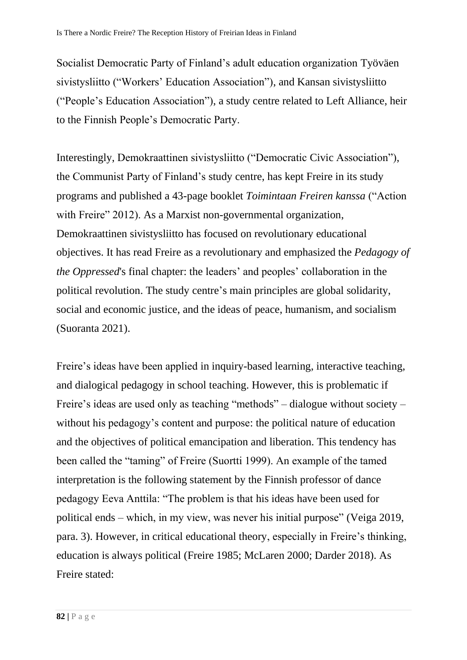Socialist Democratic Party of Finland's adult education organization Työväen sivistysliitto ("Workers' Education Association"), and Kansan sivistysliitto ("People's Education Association"), a study centre related to Left Alliance, heir to the Finnish People's Democratic Party.

Interestingly, Demokraattinen sivistysliitto ("Democratic Civic Association"), the Communist Party of Finland's study centre, has kept Freire in its study programs and published a 43-page booklet *Toimintaan Freiren kanssa* ("Action with Freire" 2012). As a Marxist non-governmental organization, Demokraattinen sivistysliitto has focused on revolutionary educational objectives. It has read Freire as a revolutionary and emphasized the *Pedagogy of the Oppressed*'s final chapter: the leaders' and peoples' collaboration in the political revolution. The study centre's main principles are global solidarity, social and economic justice, and the ideas of peace, humanism, and socialism (Suoranta 2021).

Freire's ideas have been applied in inquiry-based learning, interactive teaching, and dialogical pedagogy in school teaching. However, this is problematic if Freire's ideas are used only as teaching "methods" – dialogue without society – without his pedagogy's content and purpose: the political nature of education and the objectives of political emancipation and liberation. This tendency has been called the "taming" of Freire (Suortti 1999). An example of the tamed interpretation is the following statement by the Finnish professor of dance pedagogy Eeva Anttila: "The problem is that his ideas have been used for political ends – which, in my view, was never his initial purpose" (Veiga 2019, para. 3). However, in critical educational theory, especially in Freire's thinking, education is always political (Freire 1985; McLaren 2000; Darder 2018). As Freire stated: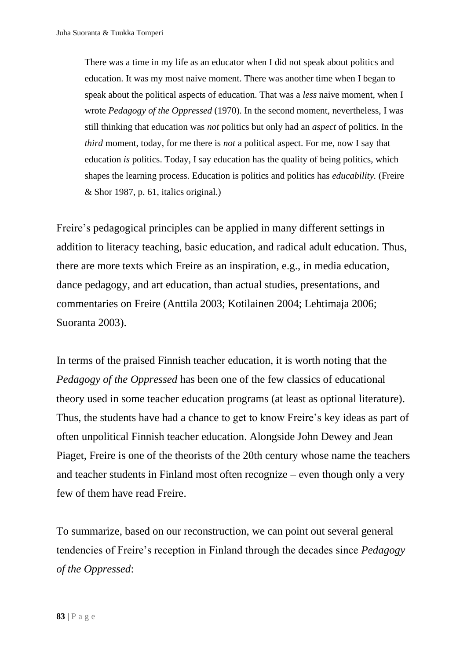There was a time in my life as an educator when I did not speak about politics and education. It was my most naive moment. There was another time when I began to speak about the political aspects of education. That was a *less* naive moment, when I wrote *Pedagogy of the Oppressed* (1970). In the second moment, nevertheless, I was still thinking that education was *not* politics but only had an *aspect* of politics. In the *third* moment, today, for me there is *not* a political aspect. For me, now I say that education *is* politics. Today, I say education has the quality of being politics, which shapes the learning process. Education is politics and politics has *educability.* (Freire & Shor 1987, p. 61, italics original.)

Freire's pedagogical principles can be applied in many different settings in addition to literacy teaching, basic education, and radical adult education. Thus, there are more texts which Freire as an inspiration, e.g., in media education, dance pedagogy, and art education, than actual studies, presentations, and commentaries on Freire (Anttila 2003; Kotilainen 2004; Lehtimaja 2006; Suoranta 2003).

In terms of the praised Finnish teacher education, it is worth noting that the *Pedagogy of the Oppressed* has been one of the few classics of educational theory used in some teacher education programs (at least as optional literature). Thus, the students have had a chance to get to know Freire's key ideas as part of often unpolitical Finnish teacher education. Alongside John Dewey and Jean Piaget, Freire is one of the theorists of the 20th century whose name the teachers and teacher students in Finland most often recognize – even though only a very few of them have read Freire.

To summarize, based on our reconstruction, we can point out several general tendencies of Freire's reception in Finland through the decades since *Pedagogy of the Oppressed*: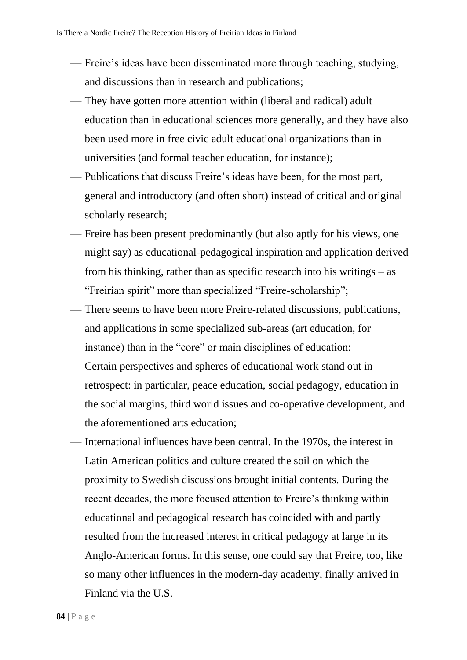- Freire's ideas have been disseminated more through teaching, studying, and discussions than in research and publications;
- They have gotten more attention within (liberal and radical) adult education than in educational sciences more generally, and they have also been used more in free civic adult educational organizations than in universities (and formal teacher education, for instance);
- Publications that discuss Freire's ideas have been, for the most part, general and introductory (and often short) instead of critical and original scholarly research;
- Freire has been present predominantly (but also aptly for his views, one might say) as educational-pedagogical inspiration and application derived from his thinking, rather than as specific research into his writings – as "Freirian spirit" more than specialized "Freire-scholarship";
- There seems to have been more Freire-related discussions, publications, and applications in some specialized sub-areas (art education, for instance) than in the "core" or main disciplines of education;
- Certain perspectives and spheres of educational work stand out in retrospect: in particular, peace education, social pedagogy, education in the social margins, third world issues and co-operative development, and the aforementioned arts education;
- International influences have been central. In the 1970s, the interest in Latin American politics and culture created the soil on which the proximity to Swedish discussions brought initial contents. During the recent decades, the more focused attention to Freire's thinking within educational and pedagogical research has coincided with and partly resulted from the increased interest in critical pedagogy at large in its Anglo-American forms. In this sense, one could say that Freire, too, like so many other influences in the modern-day academy, finally arrived in Finland via the U.S.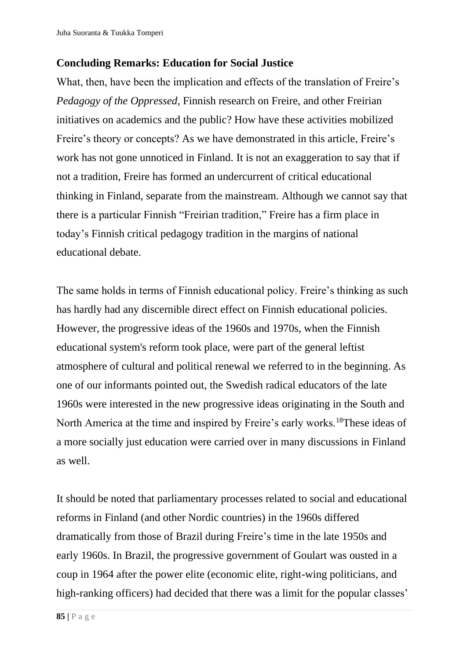# **Concluding Remarks: Education for Social Justice**

What, then, have been the implication and effects of the translation of Freire's *Pedagogy of the Oppressed*, Finnish research on Freire, and other Freirian initiatives on academics and the public? How have these activities mobilized Freire's theory or concepts? As we have demonstrated in this article, Freire's work has not gone unnoticed in Finland. It is not an exaggeration to say that if not a tradition, Freire has formed an undercurrent of critical educational thinking in Finland, separate from the mainstream. Although we cannot say that there is a particular Finnish "Freirian tradition," Freire has a firm place in today's Finnish critical pedagogy tradition in the margins of national educational debate.

The same holds in terms of Finnish educational policy. Freire's thinking as such has hardly had any discernible direct effect on Finnish educational policies. However, the progressive ideas of the 1960s and 1970s, when the Finnish educational system's reform took place, were part of the general leftist atmosphere of cultural and political renewal we referred to in the beginning. As one of our informants pointed out, the Swedish radical educators of the late 1960s were interested in the new progressive ideas originating in the South and North America at the time and inspired by Freire's early works.<sup>18</sup>These ideas of a more socially just education were carried over in many discussions in Finland as well.

It should be noted that parliamentary processes related to social and educational reforms in Finland (and other Nordic countries) in the 1960s differed dramatically from those of Brazil during Freire's time in the late 1950s and early 1960s. In Brazil, the progressive government of Goulart was ousted in a coup in 1964 after the power elite (economic elite, right-wing politicians, and high-ranking officers) had decided that there was a limit for the popular classes'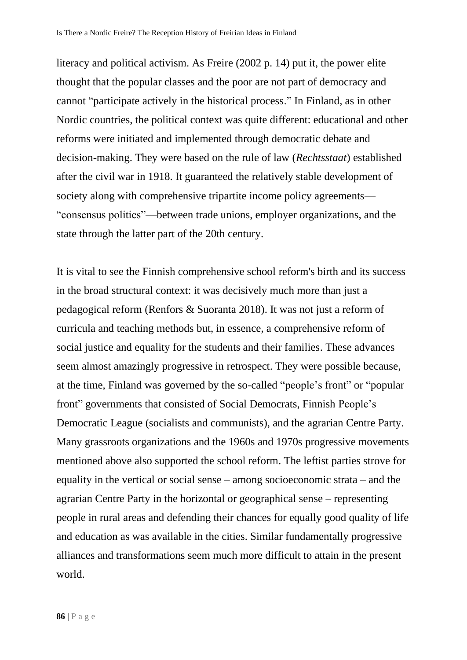literacy and political activism. As Freire (2002 p. 14) put it, the power elite thought that the popular classes and the poor are not part of democracy and cannot "participate actively in the historical process." In Finland, as in other Nordic countries, the political context was quite different: educational and other reforms were initiated and implemented through democratic debate and decision-making. They were based on the rule of law (*Rechtsstaat*) established after the civil war in 1918. It guaranteed the relatively stable development of society along with comprehensive tripartite income policy agreements— "consensus politics"—between trade unions, employer organizations, and the state through the latter part of the 20th century.

It is vital to see the Finnish comprehensive school reform's birth and its success in the broad structural context: it was decisively much more than just a pedagogical reform (Renfors & Suoranta 2018). It was not just a reform of curricula and teaching methods but, in essence, a comprehensive reform of social justice and equality for the students and their families. These advances seem almost amazingly progressive in retrospect. They were possible because, at the time, Finland was governed by the so-called "people's front" or "popular front" governments that consisted of Social Democrats, Finnish People's Democratic League (socialists and communists), and the agrarian Centre Party. Many grassroots organizations and the 1960s and 1970s progressive movements mentioned above also supported the school reform. The leftist parties strove for equality in the vertical or social sense – among socioeconomic strata – and the agrarian Centre Party in the horizontal or geographical sense – representing people in rural areas and defending their chances for equally good quality of life and education as was available in the cities. Similar fundamentally progressive alliances and transformations seem much more difficult to attain in the present world.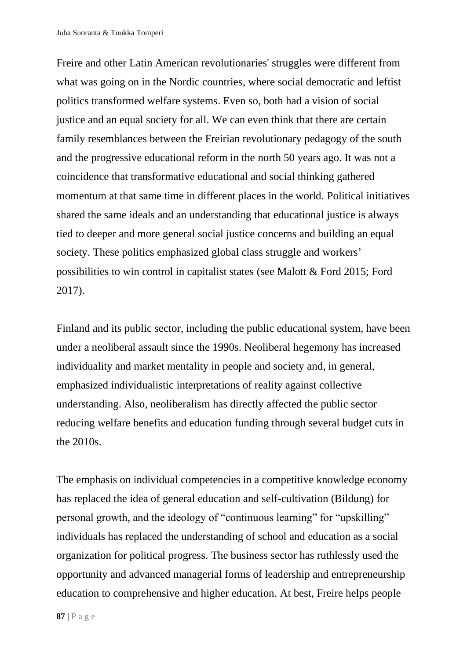Freire and other Latin American revolutionaries' struggles were different from what was going on in the Nordic countries, where social democratic and leftist politics transformed welfare systems. Even so, both had a vision of social justice and an equal society for all. We can even think that there are certain family resemblances between the Freirian revolutionary pedagogy of the south and the progressive educational reform in the north 50 years ago. It was not a coincidence that transformative educational and social thinking gathered momentum at that same time in different places in the world. Political initiatives shared the same ideals and an understanding that educational justice is always tied to deeper and more general social justice concerns and building an equal society. These politics emphasized global class struggle and workers' possibilities to win control in capitalist states (see Malott & Ford 2015; Ford 2017).

Finland and its public sector, including the public educational system, have been under a neoliberal assault since the 1990s. Neoliberal hegemony has increased individuality and market mentality in people and society and, in general, emphasized individualistic interpretations of reality against collective understanding. Also, neoliberalism has directly affected the public sector reducing welfare benefits and education funding through several budget cuts in the 2010s.

The emphasis on individual competencies in a competitive knowledge economy has replaced the idea of general education and self-cultivation (Bildung) for personal growth, and the ideology of "continuous learning" for "upskilling" individuals has replaced the understanding of school and education as a social organization for political progress. The business sector has ruthlessly used the opportunity and advanced managerial forms of leadership and entrepreneurship education to comprehensive and higher education. At best, Freire helps people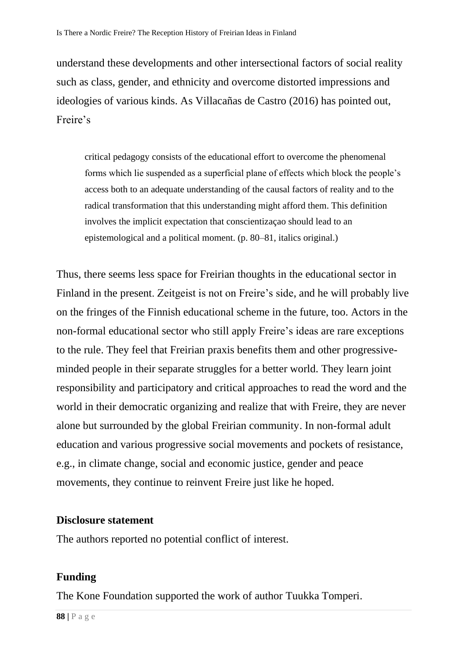understand these developments and other intersectional factors of social reality such as class, gender, and ethnicity and overcome distorted impressions and ideologies of various kinds. As Villacañas de Castro (2016) has pointed out, Freire's

critical pedagogy consists of the educational effort to overcome the phenomenal forms which lie suspended as a superficial plane of effects which block the people's access both to an adequate understanding of the causal factors of reality and to the radical transformation that this understanding might afford them. This definition involves the implicit expectation that conscientizaçao should lead to an epistemological and a political moment. (p. 80–81, italics original.)

Thus, there seems less space for Freirian thoughts in the educational sector in Finland in the present. Zeitgeist is not on Freire's side, and he will probably live on the fringes of the Finnish educational scheme in the future, too. Actors in the non-formal educational sector who still apply Freire's ideas are rare exceptions to the rule. They feel that Freirian praxis benefits them and other progressiveminded people in their separate struggles for a better world. They learn joint responsibility and participatory and critical approaches to read the word and the world in their democratic organizing and realize that with Freire, they are never alone but surrounded by the global Freirian community. In non-formal adult education and various progressive social movements and pockets of resistance, e.g., in climate change, social and economic justice, gender and peace movements, they continue to reinvent Freire just like he hoped.

### **Disclosure statement**

The authors reported no potential conflict of interest.

### **Funding**

The Kone Foundation supported the work of author Tuukka Tomperi.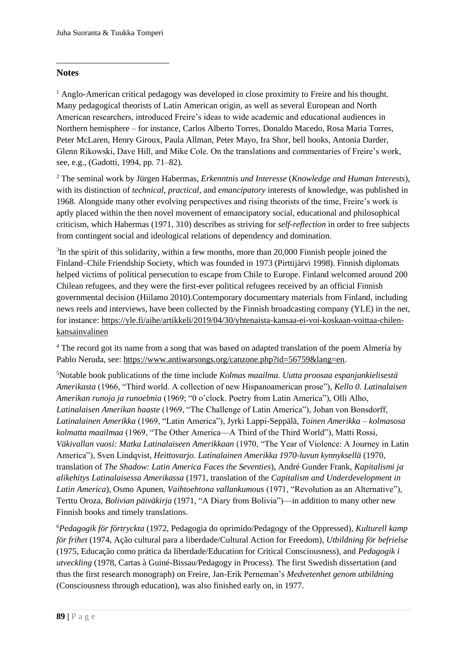#### **Notes**

<sup>1</sup> Anglo-American critical pedagogy was developed in close proximity to Freire and his thought. Many pedagogical theorists of Latin American origin, as well as several European and North American researchers, introduced Freire's ideas to wide academic and educational audiences in Northern hemisphere – for instance, Carlos Alberto Torres, Donaldo Macedo, Rosa Maria Torres, Peter McLaren, Henry Giroux, Paula Allman, Peter Mayo, Ira Shor, bell hooks, Antonia Darder, Glenn Rikowski, Dave Hill, and Mike Cole. On the translations and commentaries of Freire's work, see, e.g., (Gadotti, 1994, pp. 71–82).

<sup>2</sup> The seminal work by Jürgen Habermas, *Erkenntnis und Interesse* (*Knowledge and Human Interests*), with its distinction of *technical*, *practical*, and *emancipatory* interests of knowledge, was published in 1968. Alongside many other evolving perspectives and rising theorists of the time, Freire's work is aptly placed within the then novel movement of emancipatory social, educational and philosophical criticism, which Habermas (1971, 310) describes as striving for *self-reflection* in order to free subjects from contingent social and ideological relations of dependency and domination.

 $3$ In the spirit of this solidarity, within a few months, more than 20,000 Finnish people joined the Finland–Chile Friendship Society, which was founded in 1973 (Pirttijärvi 1998). Finnish diplomats helped victims of political persecution to escape from Chile to Europe. Finland welcomed around 200 Chilean refugees, and they were the first-ever political refugees received by an official Finnish governmental decision (Hiilamo 2010).Contemporary documentary materials from Finland, including news reels and interviews, have been collected by the Finnish broadcasting company (YLE) in the net, for instance: [https://yle.fi/aihe/artikkeli/2019/04/30/yhtenaista-kansaa-ei-voi-koskaan-voittaa-chilen](https://yle.fi/aihe/artikkeli/2019/04/30/yhtenaista-kansaa-ei-voi-koskaan-voittaa-chilen-kansainvalinen)[kansainvalinen](https://yle.fi/aihe/artikkeli/2019/04/30/yhtenaista-kansaa-ei-voi-koskaan-voittaa-chilen-kansainvalinen)

<sup>4</sup> The record got its name from a song that was based on adapted translation of the poem Almería by Pablo Neruda, see: [https://www.antiwarsongs.org/canzone.php?id=56759&lang=en.](https://www.antiwarsongs.org/canzone.php?id=56759&lang=en)

<sup>5</sup>Notable book publications of the time include *Kolmas maailma. Uutta proosaa espanjankielisestä Amerikasta* (1966, "Third world. A collection of new Hispanoamerican prose"), *Kello 0. Latinalaisen Amerikan runoja ja runoelmia* (1969; "0 o'clock. Poetry from Latin America"), Olli Alho, *Latinalaisen Amerikan haaste* (1969, "The Challenge of Latin America"), Johan von Bonsdorff, *Latinalainen Amerikka* (1969, "Latin America"), Jyrki Lappi-Seppälä, *Toinen Amerikka – kolmasosa kolmatta maailmaa* (1969, "The Other America—A Third of the Third World"), Matti Rossi, *Väkivallan vuosi: Matka Latinalaiseen Amerikkaan* (1970, "The Year of Violence: A Journey in Latin America"), Sven Lindqvist, *Heittovarjo. Latinalainen Amerikka 1970-luvun kynnyksellä* (1970, translation of *The Shadow: Latin America Faces the Seventies*), André Gunder Frank, *Kapitalismi ja alikehitys Latinalaisessa Amerikassa* (1971, translation of the *Capitalism and Underdevelopment in Latin America*), Osmo Apunen, *Vaihtoehtona vallankumous* (1971, "Revolution as an Alternative"), Terttu Oroza, *Bolivian päiväkirja* (1971, "A Diary from Bolivia")—in addition to many other new Finnish books and timely translations.

<sup>6</sup>*Pedagogik för förtryckta* (1972, Pedagogia do oprimido/Pedagogy of the Oppressed), *Kulturell kamp för frihet* (1974, Ação cultural para a liberdade/Cultural Action for Freedom), *Utbildning för befrielse*  (1975, Educação como prática da liberdade/Education for Critical Consciousness), and *Pedagogik i utveckling* (1978, Cartas à Guiné-Bissau/Pedagogy in Process). The first Swedish dissertation (and thus the first research monograph) on Freire, Jan-Erik Perneman's *Medvetenhet genom utbildning* (Consciousness through education), was also finished early on, in 1977.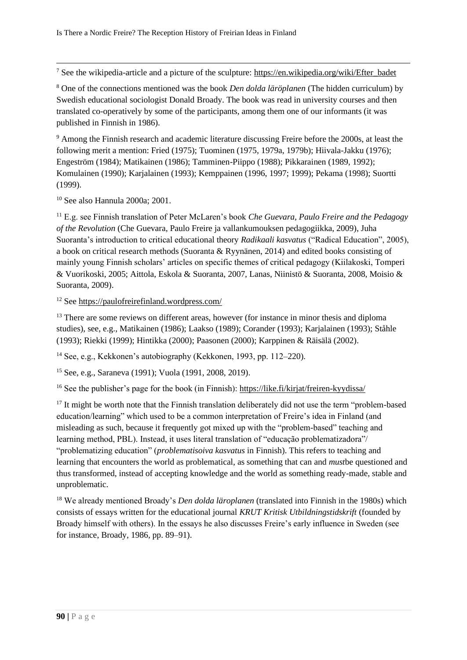<sup>7</sup> See the wikipedia-article and a picture of the sculpture: [https://en.wikipedia.org/wiki/Efter\\_badet](https://en.wikipedia.org/wiki/Efter_badet)

<sup>8</sup> One of the connections mentioned was the book *Den dolda läröplanen* (The hidden curriculum) by Swedish educational sociologist Donald Broady. The book was read in university courses and then translated co-operatively by some of the participants, among them one of our informants (it was published in Finnish in 1986).

<sup>9</sup> Among the Finnish research and academic literature discussing Freire before the 2000s, at least the following merit a mention: Fried (1975); Tuominen (1975, 1979a, 1979b); Hiivala-Jakku (1976); Engeström (1984); Matikainen (1986); Tamminen-Piippo (1988); Pikkarainen (1989, 1992); Komulainen (1990); Karjalainen (1993); Kemppainen (1996, 1997; 1999); Pekama (1998); Suortti (1999).

<sup>10</sup> See also Hannula 2000a; 2001.

<sup>11</sup> E.g. see Finnish translation of Peter McLaren's book *Che Guevara, Paulo Freire and the Pedagogy of the Revolution* (Che Guevara, Paulo Freire ja vallankumouksen pedagogiikka, 2009), Juha Suoranta's introduction to critical educational theory *Radikaali kasvatus* ("Radical Education", 2005), a book on critical research methods (Suoranta & Ryynänen, 2014) and edited books consisting of mainly young Finnish scholars' articles on specific themes of critical pedagogy (Kiilakoski, Tomperi & Vuorikoski, 2005; Aittola, Eskola & Suoranta, 2007, Lanas, Niinistö & Suoranta, 2008, Moisio & Suoranta, 2009).

<sup>12</sup> See<https://paulofreirefinland.wordpress.com/>

<sup>13</sup> There are some reviews on different areas, however (for instance in minor thesis and diploma studies), see, e.g., Matikainen (1986); Laakso (1989); Corander (1993); Karjalainen (1993); Ståhle (1993); Riekki (1999); Hintikka (2000); Paasonen (2000); Karppinen & Räisälä (2002).

<sup>14</sup> See, e.g., Kekkonen's autobiography (Kekkonen, 1993, pp. 112–220).

<sup>15</sup> See, e.g., Saraneva (1991); Vuola (1991, 2008, 2019).

<sup>16</sup> See the publisher's page for the book (in Finnish):<https://like.fi/kirjat/freiren-kyydissa/>

<sup>17</sup> It might be worth note that the Finnish translation deliberately did not use the term "problem-based" education/learning" which used to be a common interpretation of Freire's idea in Finland (and misleading as such, because it frequently got mixed up with the "problem-based" teaching and learning method, PBL). Instead, it uses literal translation of "educação problematizadora"/ "problematizing education" (*problematisoiva kasvatus* in Finnish). This refers to teaching and learning that encounters the world as problematical, as something that can and *must*be questioned and thus transformed, instead of accepting knowledge and the world as something ready-made, stable and unproblematic.

<sup>18</sup> We already mentioned Broady's *Den dolda läroplanen* (translated into Finnish in the 1980s) which consists of essays written for the educational journal *KRUT Kritisk Utbildningstidskrift* (founded by Broady himself with others). In the essays he also discusses Freire's early influence in Sweden (see for instance, Broady, 1986, pp. 89–91).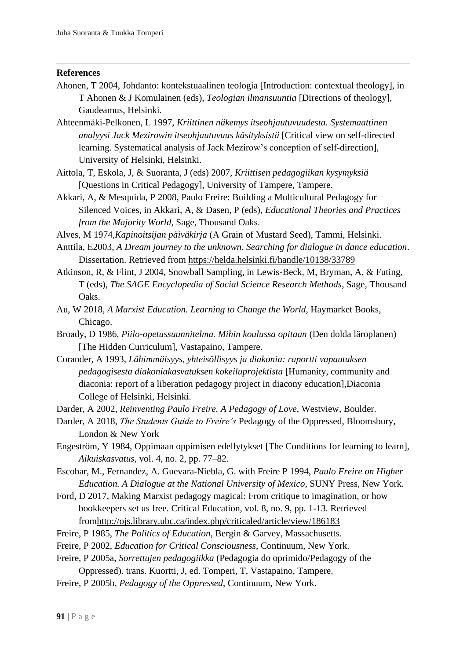#### **References**

- Ahonen, T 2004, Johdanto: kontekstuaalinen teologia [Introduction: contextual theology], in T Ahonen & J Komulainen (eds), *Teologian ilmansuuntia* [Directions of theology], Gaudeamus, Helsinki.
- Ahteenmäki-Pelkonen, L 1997, *Kriittinen näkemys itseohjautuvuudesta. Systemaattinen analyysi Jack Mezirowin itseohjautuvuus käsityksistä* [Critical view on self-directed learning. Systematical analysis of Jack Mezirow's conception of self-direction], University of Helsinki, Helsinki.
- Aittola, T, Eskola, J, & Suoranta, J (eds) 2007, *Kriittisen pedagogiikan kysymyksiä* [Questions in Critical Pedagogy], University of Tampere, Tampere.
- Akkari, A, & Mesquida, P 2008, Paulo Freire: Building a Multicultural Pedagogy for Silenced Voices, in Akkari, A, & Dasen, P (eds), *Educational Theories and Practices from the Majority World*, Sage, Thousand Oaks.
- Alves, M 1974,*Kapinoitsijan päiväkirja* (A Grain of Mustard Seed), Tammi, Helsinki.
- Anttila, E2003, *A Dream journey to the unknown. Searching for dialogue in dance education*. Dissertation. Retrieved from<https://helda.helsinki.fi/handle/10138/33789>
- Atkinson, R, & Flint, J 2004, Snowball Sampling, in Lewis-Beck, M, Bryman, A, & Futing, T (eds), *The SAGE Encyclopedia of Social Science Research Methods*, Sage, Thousand Oaks.
- Au, W 2018, *A Marxist Education. Learning to Change the World*, Haymarket Books, Chicago.
- Broady, D 1986, *Piilo-opetussuunnitelma. Mihin koulussa opitaan* (Den dolda läroplanen) [The Hidden Curriculum], Vastapaino, Tampere.
- Corander, A 1993, *Lähimmäisyys, yhteisöllisyys ja diakonia: raportti vapautuksen pedagogisesta diakoniakasvatuksen kokeiluprojektista* [Humanity, community and diaconia: report of a liberation pedagogy project in diacony education],Diaconia College of Helsinki, Helsinki.
- Darder, A 2002, *Reinventing Paulo Freire. A Pedagogy of Love*, Westview, Boulder.
- Darder, A 2018, *The Students Guide to Freire's* Pedagogy of the Oppressed, Bloomsbury, London & New York
- Engeström, Y 1984, Oppimaan oppimisen edellytykset [The Conditions for learning to learn], *Aikuiskasvatus,* vol. 4, no. 2, pp. 77–82.
- Escobar, M., Fernandez, A. Guevara-Niebla, G. with Freire P 1994, *Paulo Freire on Higher Education. A Dialogue at the National University of Mexico*, SUNY Press, New York.
- Ford, D 2017, Making Marxist pedagogy magical: From critique to imagination, or how bookkeepers set us free. Critical Education, vol. 8, no. 9, pp. 1-13. Retrieved fro[mhttp://ojs.library.ubc.ca/index.php/criticaled/article/view/186183](http://ojs.library.ubc.ca/index.php/criticaled/article/view/186183)
- Freire, P 1985, *The Politics of Education*, Bergin & Garvey, Massachusetts.
- Freire, P 2002, *Education for Critical Consciousness*, Continuum, New York.
- Freire, P 2005a, *Sorrettujen pedagogiikka* (Pedagogia do oprimido/Pedagogy of the Oppressed). trans. Kuortti, J, ed. Tomperi, T, Vastapaino, Tampere.
- Freire, P 2005b, *Pedagogy of the Oppressed*, Continuum, New York.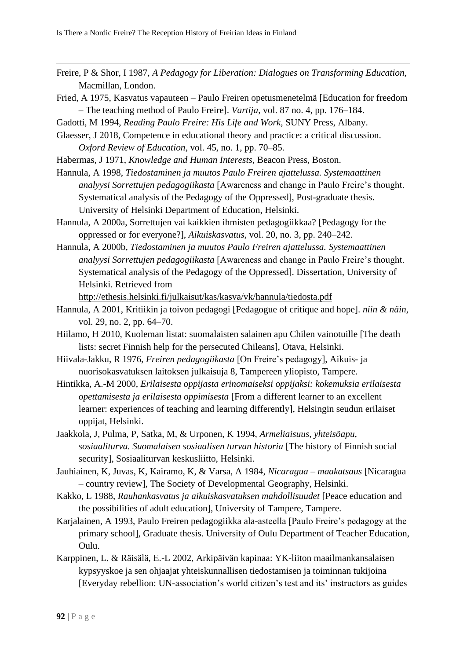- Freire, P & Shor, I 1987, *A Pedagogy for Liberation: Dialogues on Transforming Education,* Macmillan, London.
- Fried, A 1975, Kasvatus vapauteen Paulo Freiren opetusmenetelmä [Education for freedom – The teaching method of Paulo Freire]. *Vartija*, vol. 87 no. 4, pp. 176–184.
- Gadotti, M 1994, *Reading Paulo Freire: His Life and Work,* SUNY Press, Albany.
- Glaesser, J 2018, Competence in educational theory and practice: a critical discussion. *Oxford Review of Education*, vol. 45, no. 1, pp. 70–85.
- Habermas, J 1971, *Knowledge and Human Interests*, Beacon Press, Boston.

Hannula, A 1998, *Tiedostaminen ja muutos Paulo Freiren ajattelussa. Systemaattinen analyysi Sorrettujen pedagogiikasta* [Awareness and change in Paulo Freire's thought. Systematical analysis of the Pedagogy of the Oppressed], Post-graduate thesis. University of Helsinki Department of Education, Helsinki.

- Hannula, A 2000a, Sorrettujen vai kaikkien ihmisten pedagogiikkaa? [Pedagogy for the oppressed or for everyone?], *Aikuiskasvatus,* vol. 20, no. 3, pp. 240–242.
- Hannula, A 2000b, *Tiedostaminen ja muutos Paulo Freiren ajattelussa. Systemaattinen analyysi Sorrettujen pedagogiikasta* [Awareness and change in Paulo Freire's thought. Systematical analysis of the Pedagogy of the Oppressed]. Dissertation, University of Helsinki. Retrieved from

<http://ethesis.helsinki.fi/julkaisut/kas/kasva/vk/hannula/tiedosta.pdf>

- Hannula, A 2001, Kritiikin ja toivon pedagogi [Pedagogue of critique and hope]. *niin & näin,* vol. 29, no. 2, pp. 64–70.
- Hiilamo, H 2010, Kuoleman listat: suomalaisten salainen apu Chilen vainotuille [The death lists: secret Finnish help for the persecuted Chileans], Otava, Helsinki.
- Hiivala-Jakku, R 1976, *Freiren pedagogiikasta* [On Freire's pedagogy], Aikuis- ja nuorisokasvatuksen laitoksen julkaisuja 8, Tampereen yliopisto, Tampere.
- Hintikka, A.-M 2000, *Erilaisesta oppijasta erinomaiseksi oppijaksi: kokemuksia erilaisesta opettamisesta ja erilaisesta oppimisesta* [From a different learner to an excellent learner: experiences of teaching and learning differently], Helsingin seudun erilaiset oppijat, Helsinki.
- Jaakkola, J, Pulma, P, Satka, M, & Urponen, K 1994, *Armeliaisuus, yhteisöapu, sosiaaliturva. Suomalaisen sosiaalisen turvan historia* [The history of Finnish social security], Sosiaaliturvan keskusliitto, Helsinki.
- Jauhiainen, K, Juvas, K, Kairamo, K, & Varsa, A 1984, *Nicaragua – maakatsaus* [Nicaragua – country review], The Society of Developmental Geography, Helsinki.
- Kakko, L 1988, *Rauhankasvatus ja aikuiskasvatuksen mahdollisuudet* [Peace education and the possibilities of adult education], University of Tampere, Tampere.
- Karjalainen, A 1993, Paulo Freiren pedagogiikka ala-asteella [Paulo Freire's pedagogy at the primary school], Graduate thesis. University of Oulu Department of Teacher Education, Oulu.
- Karppinen, L. & Räisälä, E.-L 2002, Arkipäivän kapinaa: YK-liiton maailmankansalaisen kypsyyskoe ja sen ohjaajat yhteiskunnallisen tiedostamisen ja toiminnan tukijoina [Everyday rebellion: UN-association's world citizen's test and its' instructors as guides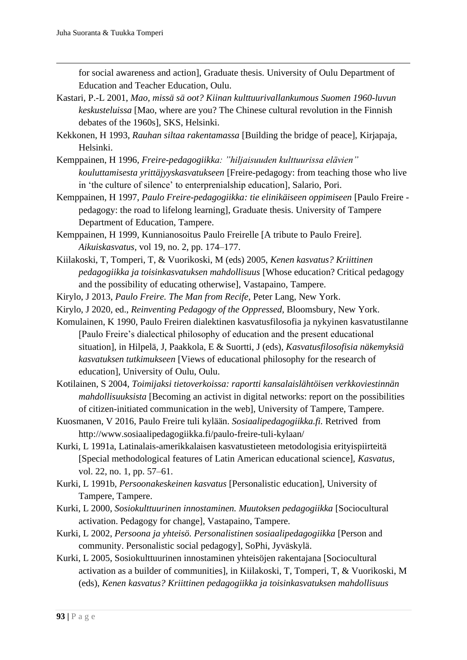for social awareness and action], Graduate thesis. University of Oulu Department of Education and Teacher Education, Oulu.

- Kastari, P.-L 2001, *Mao, missä sä oot? Kiinan kulttuurivallankumous Suomen 1960-luvun keskusteluissa* [Mao, where are you? The Chinese cultural revolution in the Finnish debates of the 1960s], SKS, Helsinki.
- Kekkonen, H 1993, *Rauhan siltaa rakentamassa* [Building the bridge of peace], Kirjapaja, Helsinki.
- Kemppainen, H 1996, *Freire-pedagogiikka: "hiljaisuuden kulttuurissa elävien" kouluttamisesta yrittäjyyskasvatukseen* [Freire-pedagogy: from teaching those who live in 'the culture of silence' to enterprenialship education], Salario, Pori.
- Kemppainen, H 1997, *Paulo Freire-pedagogiikka: tie elinikäiseen oppimiseen* [Paulo Freire pedagogy: the road to lifelong learning], Graduate thesis. University of Tampere Department of Education, Tampere.
- Kemppainen, H 1999, Kunnianosoitus Paulo Freirelle [A tribute to Paulo Freire]. *Aikuiskasvatus,* vol 19, no. 2, pp. 174–177.
- Kiilakoski, T, Tomperi, T, & Vuorikoski, M (eds) 2005, *Kenen kasvatus? Kriittinen pedagogiikka ja toisinkasvatuksen mahdollisuus* [Whose education? Critical pedagogy and the possibility of educating otherwise], Vastapaino, Tampere.
- Kirylo, J 2013, *Paulo Freire. The Man from Recife*, Peter Lang, New York.
- Kirylo, J 2020, ed., *Reinventing Pedagogy of the Oppressed*, Bloomsbury, New York.
- Komulainen, K 1990, Paulo Freiren dialektinen kasvatusfilosofia ja nykyinen kasvatustilanne [Paulo Freire's dialectical philosophy of education and the present educational situation], in Hilpelä, J, Paakkola, E & Suortti, J (eds), *Kasvatusfilosofisia näkemyksiä kasvatuksen tutkimukseen* [Views of educational philosophy for the research of education], University of Oulu, Oulu.
- Kotilainen, S 2004, *Toimijaksi tietoverkoissa: raportti kansalaislähtöisen verkkoviestinnän mahdollisuuksista* [Becoming an activist in digital networks: report on the possibilities of citizen-initiated communication in the web], University of Tampere, Tampere.
- Kuosmanen, V 2016, Paulo Freire tuli kylään. *Sosiaalipedagogiikka.fi.* Retrived from http://www.sosiaalipedagogiikka.fi/paulo-freire-tuli-kylaan/
- Kurki, L 1991a, Latinalais-amerikkalaisen kasvatustieteen metodologisia erityispiirteitä [Special methodological features of Latin American educational science], *Kasvatus,* vol. 22, no. 1, pp. 57–61.
- Kurki, L 1991b, *Persoonakeskeinen kasvatus* [Personalistic education], University of Tampere, Tampere.
- Kurki, L 2000, *Sosiokulttuurinen innostaminen. Muutoksen pedagogiikka* [Sociocultural activation. Pedagogy for change], Vastapaino, Tampere.
- Kurki, L 2002, *Persoona ja yhteisö. Personalistinen sosiaalipedagogiikka* [Person and community. Personalistic social pedagogy], SoPhi, Jyväskylä.
- Kurki, L 2005, Sosiokulttuurinen innostaminen yhteisöjen rakentajana [Sociocultural activation as a builder of communities], in Kiilakoski, T, Tomperi, T, & Vuorikoski, M (eds), *Kenen kasvatus? Kriittinen pedagogiikka ja toisinkasvatuksen mahdollisuus*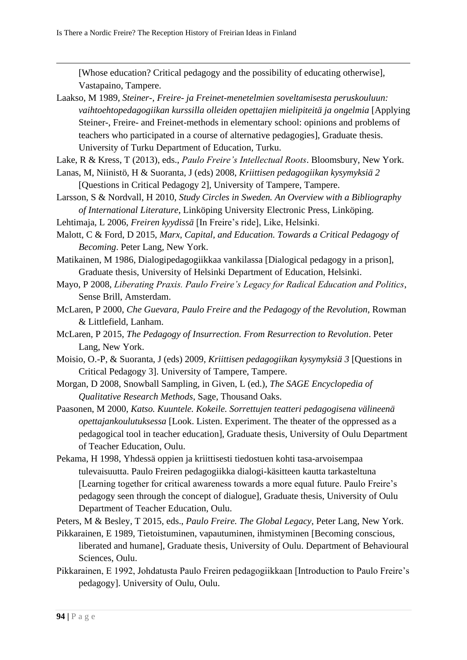[Whose education? Critical pedagogy and the possibility of educating otherwise], Vastapaino, Tampere.

Laakso, M 1989, *Steiner-, Freire- ja Freinet-menetelmien soveltamisesta peruskouluun: vaihtoehtopedagogiikan kurssilla olleiden opettajien mielipiteitä ja ongelmia* [Applying Steiner-, Freire- and Freinet-methods in elementary school: opinions and problems of teachers who participated in a course of alternative pedagogies], Graduate thesis. University of Turku Department of Education, Turku.

Lake, R & Kress, T (2013), eds., *Paulo Freire's Intellectual Roots*. Bloomsbury, New York.

- Lanas, M, Niinistö, H & Suoranta, J (eds) 2008, *Kriittisen pedagogiikan kysymyksiä 2* [Questions in Critical Pedagogy 2], University of Tampere, Tampere.
- Larsson, S & Nordvall, H 2010, *Study Circles in Sweden. An Overview with a Bibliography of International Literature*, Linköping University Electronic Press, Linköping.
- Lehtimaja, L 2006, *Freiren kyydissä* [In Freire's ride], Like, Helsinki.
- Malott, C & Ford, D 2015, *Marx, Capital, and Education. Towards a Critical Pedagogy of Becoming*. Peter Lang, New York.
- Matikainen, M 1986, Dialogipedagogiikkaa vankilassa [Dialogical pedagogy in a prison], Graduate thesis, University of Helsinki Department of Education, Helsinki.
- Mayo, P 2008, *Liberating Praxis. Paulo Freire's Legacy for Radical Education and Politics*, Sense Brill, Amsterdam.
- McLaren, P 2000, *Che Guevara, Paulo Freire and the Pedagogy of the Revolution*, Rowman & Littlefield, Lanham.
- McLaren, P 2015, *The Pedagogy of Insurrection. From Resurrection to Revolution*. Peter Lang, New York.
- Moisio, O.-P, & Suoranta, J (eds) 2009, *Kriittisen pedagogiikan kysymyksiä 3* [Questions in Critical Pedagogy 3]. University of Tampere, Tampere.
- Morgan, D 2008, Snowball Sampling, in Given, L (ed.), *The SAGE Encyclopedia of Qualitative Research Methods*, Sage, Thousand Oaks.
- Paasonen, M 2000, *Katso. Kuuntele. Kokeile. Sorrettujen teatteri pedagogisena välineenä opettajankoulutuksessa* [Look. Listen. Experiment. The theater of the oppressed as a pedagogical tool in teacher education], Graduate thesis, University of Oulu Department of Teacher Education, Oulu.
- Pekama, H 1998, Yhdessä oppien ja kriittisesti tiedostuen kohti tasa-arvoisempaa tulevaisuutta. Paulo Freiren pedagogiikka dialogi-käsitteen kautta tarkasteltuna [Learning together for critical awareness towards a more equal future. Paulo Freire's pedagogy seen through the concept of dialogue], Graduate thesis, University of Oulu Department of Teacher Education, Oulu.
- Peters, M & Besley, T 2015, eds., *Paulo Freire. The Global Legacy*, Peter Lang, New York.
- Pikkarainen, E 1989, Tietoistuminen, vapautuminen, ihmistyminen [Becoming conscious, liberated and humane], Graduate thesis, University of Oulu. Department of Behavioural Sciences, Oulu.
- Pikkarainen, E 1992, Johdatusta Paulo Freiren pedagogiikkaan [Introduction to Paulo Freire's pedagogy]. University of Oulu, Oulu.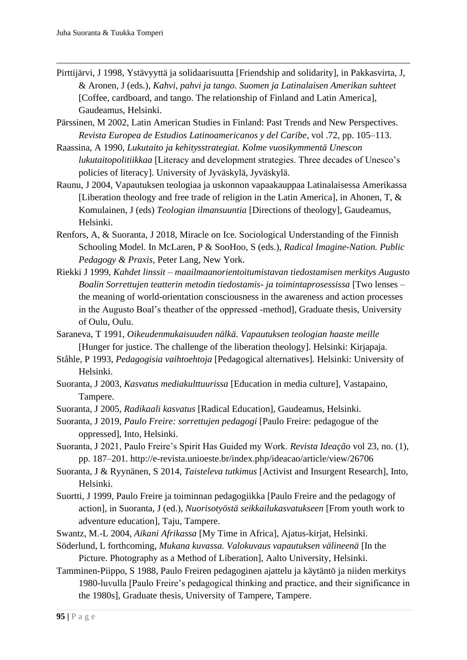- Pirttijärvi, J 1998, Ystävyyttä ja solidaarisuutta [Friendship and solidarity], in Pakkasvirta, J, & Aronen, J (eds.), *Kahvi, pahvi ja tango. Suomen ja Latinalaisen Amerikan suhteet* [Coffee, cardboard, and tango. The relationship of Finland and Latin America], Gaudeamus, Helsinki.
- Pärssinen, M 2002, Latin American Studies in Finland: Past Trends and New Perspectives. *Revista Europea de Estudios Latinoamericanos y del Caribe*, vol .72, pp. 105–113.
- Raassina, A 1990, *Lukutaito ja kehitysstrategiat. Kolme vuosikymmentä Unescon lukutaitopolitiikkaa* [Literacy and development strategies. Three decades of Unesco's policies of literacy]. University of Jyväskylä, Jyväskylä.
- Raunu, J 2004, Vapautuksen teologiaa ja uskonnon vapaakauppaa Latinalaisessa Amerikassa [Liberation theology and free trade of religion in the Latin America], in Ahonen, T, & Komulainen, J (eds) *Teologian ilmansuuntia* [Directions of theology], Gaudeamus, Helsinki.
- Renfors, A, & Suoranta, J 2018, Miracle on Ice. Sociological Understanding of the Finnish Schooling Model. In McLaren, P & SooHoo, S (eds.), *Radical Imagine-Nation. Public Pedagogy & Praxis*, Peter Lang, New York.
- Riekki J 1999, *Kahdet linssit – maailmaanorientoitumistavan tiedostamisen merkitys Augusto Boalin Sorrettujen teatterin metodin tiedostamis- ja toimintaprosessissa* [Two lenses – the meaning of world-orientation consciousness in the awareness and action processes in the Augusto Boal's theather of the oppressed -method], Graduate thesis, University of Oulu, Oulu.
- Saraneva, T 1991, *Oikeudenmukaisuuden nälkä. Vapautuksen teologian haaste meille* [Hunger for justice. The challenge of the liberation theology]. Helsinki: Kirjapaja.
- Ståhle, P 1993, *Pedagogisia vaihtoehtoja* [Pedagogical alternatives]*.* Helsinki: University of Helsinki.
- Suoranta, J 2003, *Kasvatus mediakulttuurissa* [Education in media culture], Vastapaino, Tampere.
- Suoranta, J 2005, *Radikaali kasvatus* [Radical Education], Gaudeamus, Helsinki.
- Suoranta, J 2019, *Paulo Freire: sorrettujen pedagogi* [Paulo Freire: pedagogue of the oppressed], Into, Helsinki.
- Suoranta, J 2021, Paulo Freire's Spirit Has Guided my Work. *Revista Ideação* vol 23, no. (1), pp. 187–201. http://e-revista.unioeste.br/index.php/ideacao/article/view/26706
- Suoranta, J & Ryynänen, S 2014, *Taisteleva tutkimus* [Activist and Insurgent Research], Into, Helsinki.
- Suortti, J 1999, Paulo Freire ja toiminnan pedagogiikka [Paulo Freire and the pedagogy of action], in Suoranta, J (ed.), *Nuorisotyöstä seikkailukasvatukseen* [From youth work to adventure education], Taju, Tampere.
- Swantz, M.-L 2004, *Aikani Afrikassa* [My Time in Africa], Ajatus-kirjat, Helsinki.
- Söderlund, L forthcoming, *Mukana kuvassa. Valokuvaus vapautuksen välineenä* [In the Picture. Photography as a Method of Liberation], Aalto University, Helsinki.
- Tamminen-Piippo, S 1988, Paulo Freiren pedagoginen ajattelu ja käytäntö ja niiden merkitys 1980-luvulla [Paulo Freire's pedagogical thinking and practice, and their significance in the 1980s], Graduate thesis, University of Tampere, Tampere.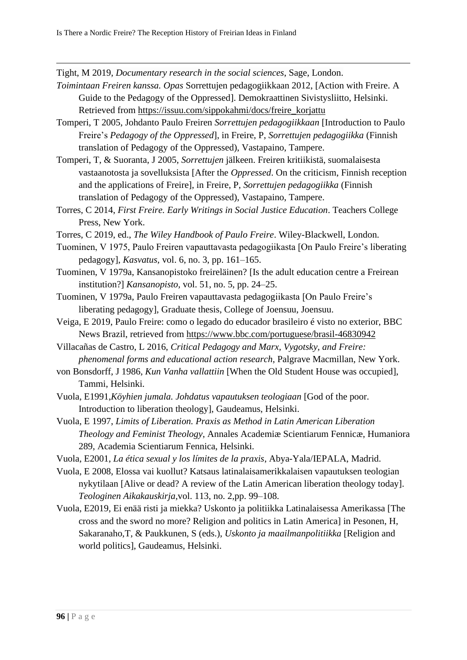Tight, M 2019, *Documentary research in the social sciences*, Sage, London.

- *Toimintaan Freiren kanssa. Opas* Sorrettujen pedagogiikkaan 2012, [Action with Freire. A Guide to the Pedagogy of the Oppressed]. Demokraattinen Sivistysliitto, Helsinki. Retrieved from [https://issuu.com/sippokahmi/docs/freire\\_korjattu](https://issuu.com/sippokahmi/docs/freire_korjattu)
- Tomperi, T 2005, Johdanto Paulo Freiren *Sorrettujen pedagogiikkaan* [Introduction to Paulo Freire's *Pedagogy of the Oppressed*], in Freire, P, *Sorrettujen pedagogiikka* (Finnish translation of Pedagogy of the Oppressed), Vastapaino, Tampere.
- Tomperi, T, & Suoranta, J 2005, *Sorrettujen* jälkeen. Freiren kritiikistä, suomalaisesta vastaanotosta ja sovelluksista [After the *Oppressed*. On the criticism, Finnish reception and the applications of Freire], in Freire, P, *Sorrettujen pedagogiikka* (Finnish translation of Pedagogy of the Oppressed), Vastapaino, Tampere.
- Torres, C 2014, *First Freire. Early Writings in Social Justice Education*. Teachers College Press, New York.
- Torres, C 2019, ed., *The Wiley Handbook of Paulo Freire*. Wiley-Blackwell, London.
- Tuominen, V 1975, Paulo Freiren vapauttavasta pedagogiikasta [On Paulo Freire's liberating pedagogy], *Kasvatus,* vol. 6, no. 3, pp. 161–165.
- Tuominen, V 1979a, Kansanopistoko freireläinen? [Is the adult education centre a Freirean institution?] *Kansanopisto,* vol. 51, no. 5, pp. 24–25.
- Tuominen, V 1979a, Paulo Freiren vapauttavasta pedagogiikasta [On Paulo Freire's liberating pedagogy], Graduate thesis, College of Joensuu, Joensuu.
- Veiga, E 2019, Paulo Freire: como o legado do educador brasileiro é visto no exterior, BBC News Brazil, retrieved from<https://www.bbc.com/portuguese/brasil-46830942>
- Villacañas de Castro, L 2016, *Critical Pedagogy and Marx, Vygotsky, and Freire: phenomenal forms and educational action research*, Palgrave Macmillan, New York.
- von Bonsdorff, J 1986, *Kun Vanha vallattiin* [When the Old Student House was occupied], Tammi, Helsinki.
- Vuola, E1991,*Köyhien jumala. Johdatus vapautuksen teologiaan* [God of the poor. Introduction to liberation theology], Gaudeamus, Helsinki.
- Vuola, E 1997, *Limits of Liberation. Praxis as Method in Latin American Liberation Theology and Feminist Theology*, Annales Academiæ Scientiarum Fennicæ, Humaniora 289, Academia Scientiarum Fennica, Helsinki.
- Vuola, E2001, *La ética sexual y los límites de la praxis*, Abya-Yala/IEPALA, Madrid.
- Vuola, E 2008, Elossa vai kuollut? Katsaus latinalaisamerikkalaisen vapautuksen teologian nykytilaan [Alive or dead? A review of the Latin American liberation theology today]. *Teologinen Aikakauskirja,*vol. 113, no. 2,pp. 99–108.
- Vuola, E2019, Ei enää risti ja miekka? Uskonto ja politiikka Latinalaisessa Amerikassa [The cross and the sword no more? Religion and politics in Latin America] in Pesonen, H, Sakaranaho,T, & Paukkunen, S (eds.), *Uskonto ja maailmanpolitiikka* [Religion and world politics], Gaudeamus, Helsinki.